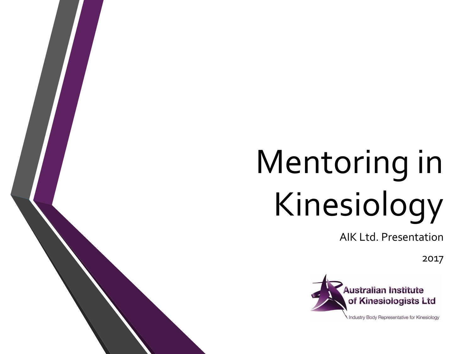# Mentoring in Kinesiology

AIK Ltd. Presentation

2017

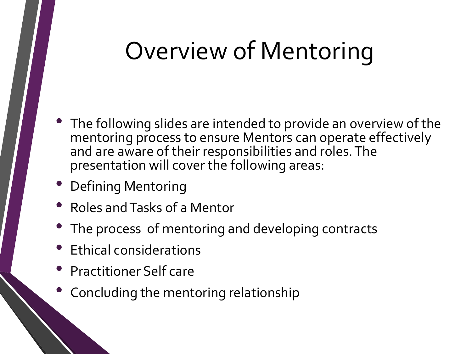#### Overview of Mentoring

- The following slides are intended to provide an overview of the mentoring process to ensure Mentors can operate effectively and are aware of their responsibilities and roles. The presentation will cover the following areas:
- Defining Mentoring
- Roles and Tasks of a Mentor
- The process of mentoring and developing contracts
- Ethical considerations
- Practitioner Self care
- Concluding the mentoring relationship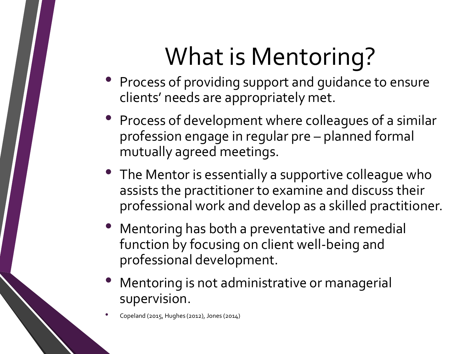# What is Mentoring?

- Process of providing support and guidance to ensure clients' needs are appropriately met.
- Process of development where colleagues of a similar profession engage in regular pre – planned formal mutually agreed meetings.
- The Mentor is essentially a supportive colleague who assists the practitioner to examine and discuss their professional work and develop as a skilled practitioner.
- Mentoring has both a preventative and remedial function by focusing on client well-being and professional development.
- Mentoring is not administrative or managerial supervision.

• Copeland (2015, Hughes (2012), Jones (2014)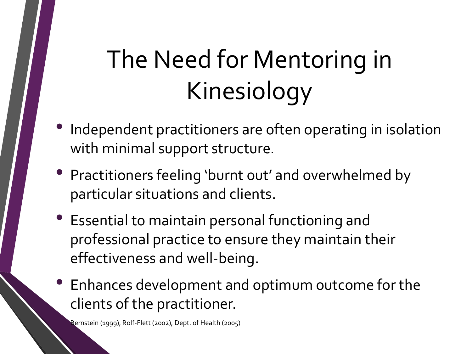# The Need for Mentoring in Kinesiology

- Independent practitioners are often operating in isolation with minimal support structure.
- Practitioners feeling 'burnt out' and overwhelmed by particular situations and clients.
- Essential to maintain personal functioning and professional practice to ensure they maintain their effectiveness and well-being.
- Enhances development and optimum outcome for the clients of the practitioner.

• Bernstein (1999), Rolf-Flett (2002), Dept. of Health (2005)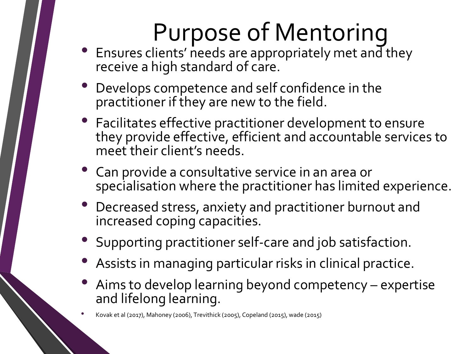# Purpose of Mentoring

- Ensures clients' needs are appropriately met and they receive a high standard of care.
- Develops competence and self confidence in the practitioner if they are new to the field.
- Facilitates effective practitioner development to ensure they provide effective, efficient and accountable services to meet their client's needs.
- Can provide a consultative service in an area or specialisation where the practitioner has limited experience.
- Decreased stress, anxiety and practitioner burnout and increased coping capacities.
- Supporting practitioner self-care and job satisfaction.
- Assists in managing particular risks in clinical practice.
- Aims to develop learning beyond competency expertise and lifelong learning.

• Kovak et al (2017), Mahoney (2006), Trevithick (2005), Copeland (2015), wade (2015)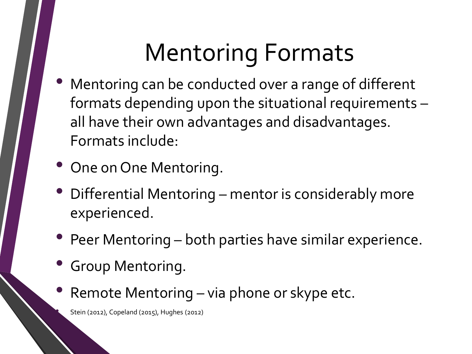## Mentoring Formats

- Mentoring can be conducted over a range of different formats depending upon the situational requirements – all have their own advantages and disadvantages. Formats include:
- One on One Mentoring.
- Differential Mentoring mentor is considerably more experienced.
- Peer Mentoring both parties have similar experience.
- Group Mentoring.
- Remote Mentoring via phone or skype etc.

• Stein (2012), Copeland (2015), Hughes (2012)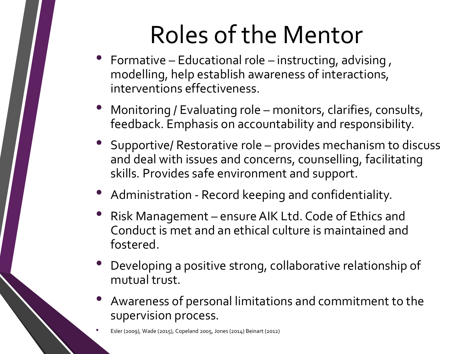# Roles of the Mentor

- Formative Educational role instructing, advising , modelling, help establish awareness of interactions, interventions effectiveness.
- Monitoring / Evaluating role monitors, clarifies, consults, feedback. Emphasis on accountability and responsibility.
- Supportive/ Restorative role provides mechanism to discuss and deal with issues and concerns, counselling, facilitating skills. Provides safe environment and support.
- Administration Record keeping and confidentiality.
- Risk Management ensure AIK Ltd. Code of Ethics and Conduct is met and an ethical culture is maintained and fostered.
- Developing a positive strong, collaborative relationship of mutual trust.
- Awareness of personal limitations and commitment to the supervision process.

• Esler (2009), Wade (2015), Copeland 2005, Jones (2014) Beinart (2012)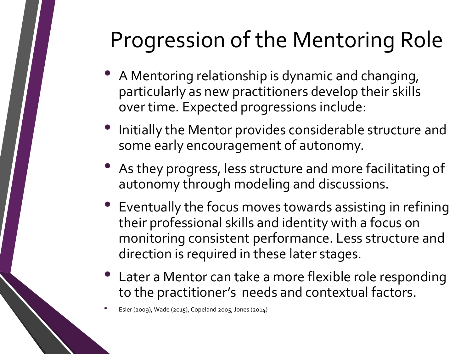#### Progression of the Mentoring Role

- A Mentoring relationship is dynamic and changing, particularly as new practitioners develop their skills over time. Expected progressions include:
- Initially the Mentor provides considerable structure and some early encouragement of autonomy.
- As they progress, less structure and more facilitating of autonomy through modeling and discussions.
- Eventually the focus moves towards assisting in refining their professional skills and identity with a focus on monitoring consistent performance. Less structure and direction is required in these later stages.
- Later a Mentor can take a more flexible role responding to the practitioner's needs and contextual factors.

• Esler (2009), Wade (2015), Copeland 2005, Jones (2014)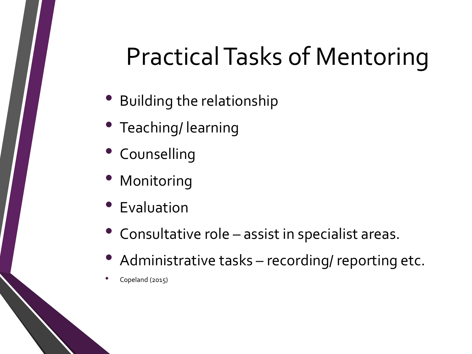#### Practical Tasks of Mentoring

- Building the relationship
- Teaching/ learning
- Counselling
- **Monitoring**
- **Evaluation**
- Consultative role assist in specialist areas.
- Administrative tasks recording/ reporting etc.
- Copeland (2015)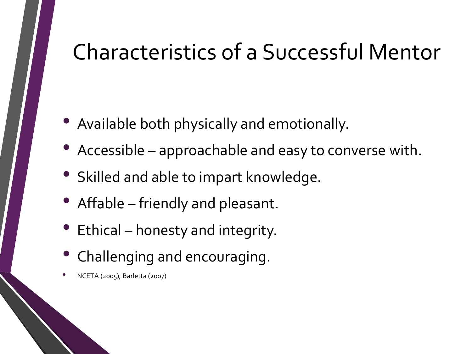#### Characteristics of a Successful Mentor

- Available both physically and emotionally.
- Accessible approachable and easy to converse with.
- Skilled and able to impart knowledge.
- Affable friendly and pleasant.
- Ethical honesty and integrity.
- Challenging and encouraging.
- NCETA (2005), Barletta (2007)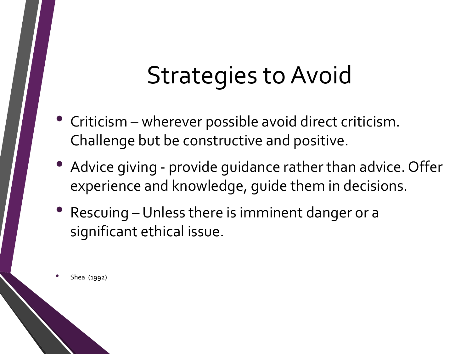#### Strategies to Avoid

- Criticism wherever possible avoid direct criticism. Challenge but be constructive and positive.
- Advice giving provide guidance rather than advice. Offer experience and knowledge, guide them in decisions.
- Rescuing Unless there is imminent danger or a significant ethical issue.

• Shea (1992)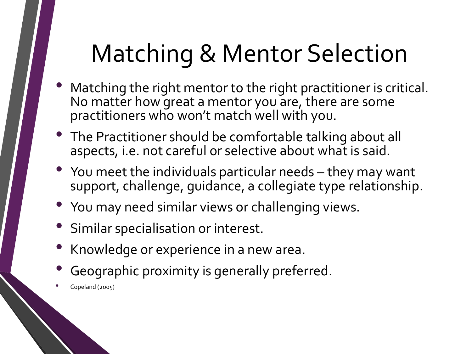#### Matching & Mentor Selection

- Matching the right mentor to the right practitioner is critical. No matter how great a mentor you are, there are some practitioners who won't match well with you.
- The Practitioner should be comfortable talking about all aspects, i.e. not careful or selective about what is said.
- You meet the individuals particular needs they may want support, challenge, guidance, a collegiate type relationship.
- You may need similar views or challenging views.
- Similar specialisation or interest.
- Knowledge or experience in a new area.
- Geographic proximity is generally preferred.
- Copeland (2005)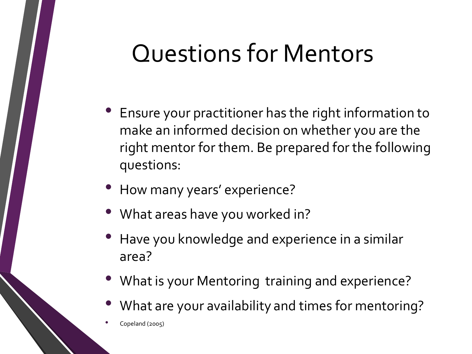#### Questions for Mentors

- Ensure your practitioner has the right information to make an informed decision on whether you are the right mentor for them. Be prepared for the following questions:
- How many years' experience?
- What areas have you worked in?
- Have you knowledge and experience in a similar area?
- What is your Mentoring training and experience?
- What are your availability and times for mentoring?

• Copeland (2005)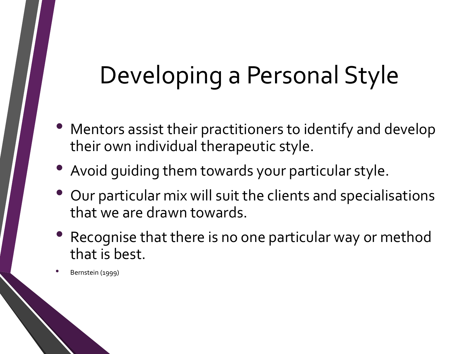#### Developing a Personal Style

- Mentors assist their practitioners to identify and develop their own individual therapeutic style.
- Avoid guiding them towards your particular style.
- Our particular mix will suit the clients and specialisations that we are drawn towards.
- Recognise that there is no one particular way or method that is best.

• Bernstein (1999)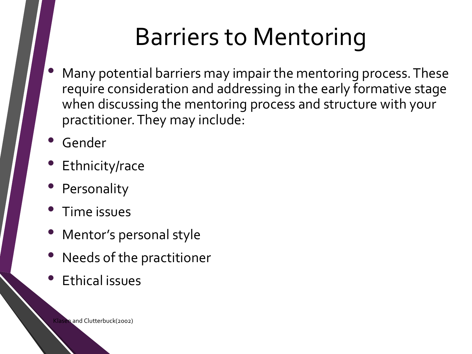#### Barriers to Mentoring

- Many potential barriers may impair the mentoring process. These require consideration and addressing in the early formative stage when discussing the mentoring process and structure with your practitioner. They may include:
- **Gender**
- Ethnicity/race
- **Personality**
- Time issues
- Mentor's personal style
- Needs of the practitioner
- Ethical issues

Klasen and Clutterbuck(2002)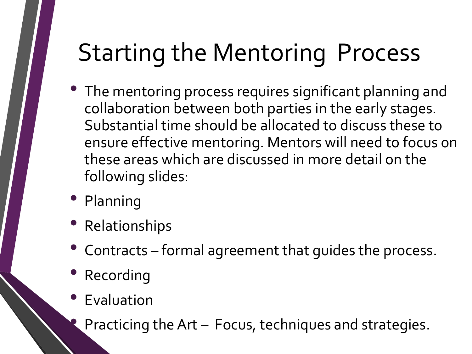## Starting the Mentoring Process

- The mentoring process requires significant planning and collaboration between both parties in the early stages. Substantial time should be allocated to discuss these to ensure effective mentoring. Mentors will need to focus on these areas which are discussed in more detail on the following slides:
- Planning
- Relationships
- Contracts formal agreement that guides the process.
- Recording
- Evaluation
- **Practicing the Art Focus, techniques and strategies.**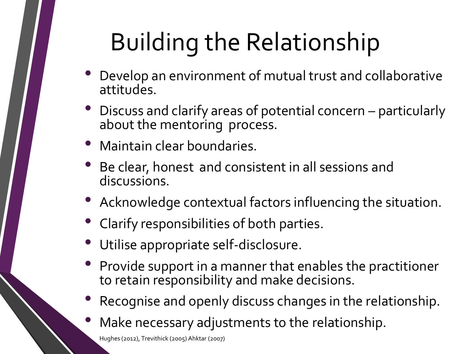# Building the Relationship

- Develop an environment of mutual trust and collaborative attitudes.
- Discuss and clarify areas of potential concern particularly about the mentoring process.
- Maintain clear boundaries.
- Be clear, honest and consistent in all sessions and discussions.
- Acknowledge contextual factors influencing the situation.
- Clarify responsibilities of both parties.
- Utilise appropriate self-disclosure.
- Provide support in a manner that enables the practitioner to retain responsibility and make decisions.
- Recognise and openly discuss changes in the relationship.
- Make necessary adjustments to the relationship.

• Hughes (2012), Trevithick (2005) Ahktar (2007)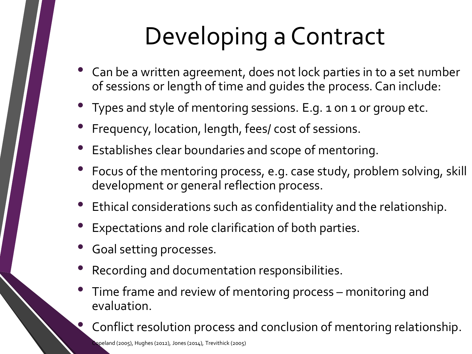# Developing a Contract

- Can be a written agreement, does not lock parties in to a set number of sessions or length of time and guides the process. Can include:
- Types and style of mentoring sessions. E.g. 1 on 1 or group etc.
- Frequency, location, length, fees/ cost of sessions.
- Establishes clear boundaries and scope of mentoring.
- Focus of the mentoring process, e.g. case study, problem solving, skill development or general reflection process.
- Ethical considerations such as confidentiality and the relationship.
- Expectations and role clarification of both parties.
- Goal setting processes.
- Recording and documentation responsibilities.
- Time frame and review of mentoring process monitoring and evaluation.

• Conflict resolution process and conclusion of mentoring relationship.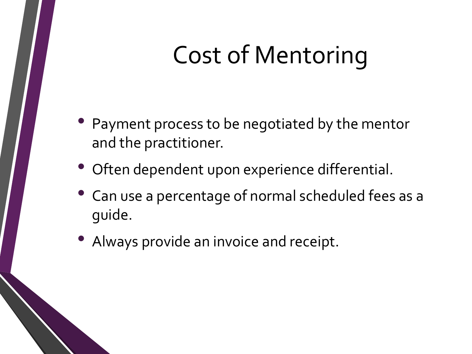## Cost of Mentoring

- Payment process to be negotiated by the mentor and the practitioner.
- Often dependent upon experience differential.
- Can use a percentage of normal scheduled fees as a guide.
- Always provide an invoice and receipt.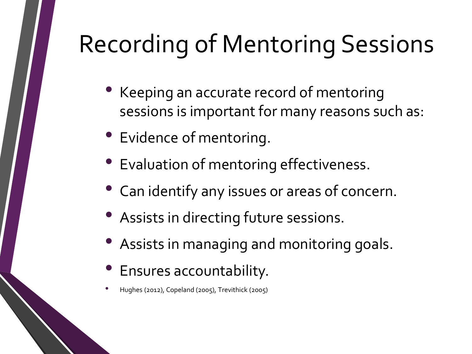# Recording of Mentoring Sessions

- Keeping an accurate record of mentoring sessions is important for many reasons such as:
- Evidence of mentoring.
- Evaluation of mentoring effectiveness.
- Can identify any issues or areas of concern.
- Assists in directing future sessions.
- Assists in managing and monitoring goals.
- Ensures accountability.
- Hughes (2012), Copeland (2005), Trevithick (2005)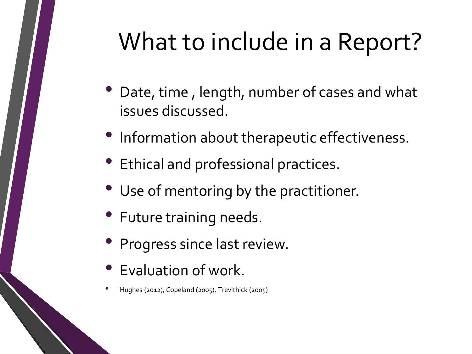## What to include in a Report?

- Date, time, length, number of cases and what issues discussed.
- Information about therapeutic effectiveness.
- Ethical and professional practices.
- Use of mentoring by the practitioner.
- Future training needs.
- Progress since last review.
- Evaluation of work.
- Hughes (2012), Copeland (2005), Trevithick (2005)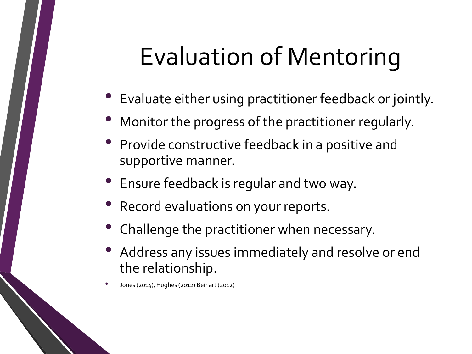#### Evaluation of Mentoring

- Evaluate either using practitioner feedback or jointly.
- Monitor the progress of the practitioner regularly.
- Provide constructive feedback in a positive and supportive manner.
- Ensure feedback is regular and two way.
- Record evaluations on your reports.
- Challenge the practitioner when necessary.
- Address any issues immediately and resolve or end the relationship.
- Jones (2014), Hughes (2012) Beinart (2012)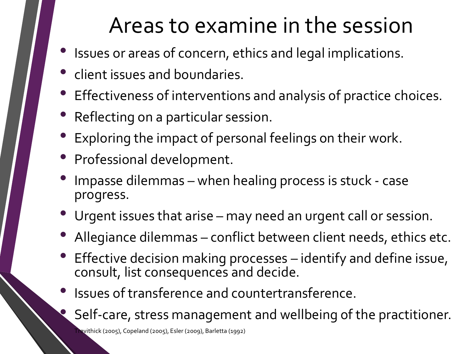#### Areas to examine in the session

- Issues or areas of concern, ethics and legal implications.
- client issues and boundaries.
- Effectiveness of interventions and analysis of practice choices.
- Reflecting on a particular session.
- Exploring the impact of personal feelings on their work.
- Professional development.
- Impasse dilemmas when healing process is stuck case progress.
- Urgent issues that arise may need an urgent call or session.
- Allegiance dilemmas conflict between client needs, ethics etc.
- Effective decision making processes identify and define issue, consult, list consequences and decide.
- Issues of transference and countertransference.
	- Self-care, stress management and wellbeing of the practitioner.

• Trevithick (2005), Copeland (2005), Esler (2009), Barletta (1992)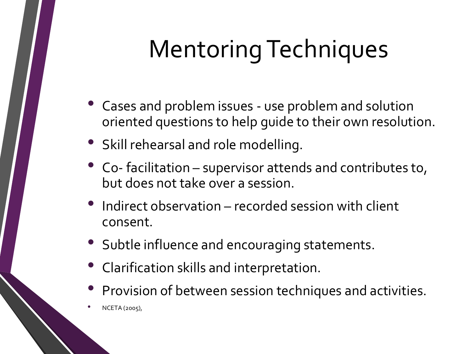# Mentoring Techniques

- Cases and problem issues use problem and solution oriented questions to help guide to their own resolution.
- Skill rehearsal and role modelling.
- Co- facilitation supervisor attends and contributes to, but does not take over a session.
- Indirect observation recorded session with client consent.
- Subtle influence and encouraging statements.
- Clarification skills and interpretation.
- Provision of between session techniques and activities.
- NCETA (2005),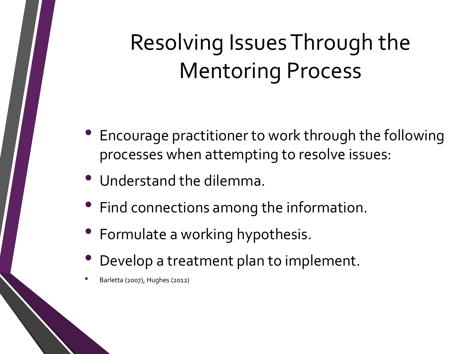#### Resolving Issues Through the Mentoring Process

- Encourage practitioner to work through the following processes when attempting to resolve issues:
- Understand the dilemma.
- Find connections among the information.
- Formulate a working hypothesis.
- Develop a treatment plan to implement.
- Barletta (2007), Hughes (2012)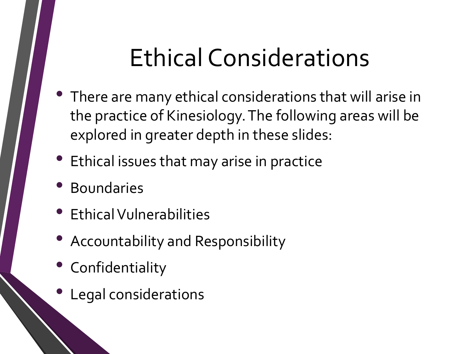# Ethical Considerations

- There are many ethical considerations that will arise in the practice of Kinesiology. The following areas will be explored in greater depth in these slides:
- Ethical issues that may arise in practice
- Boundaries
- Ethical Vulnerabilities
- Accountability and Responsibility
- Confidentiality
- Legal considerations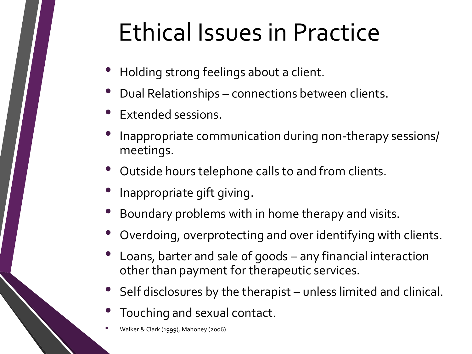#### Ethical Issues in Practice

- Holding strong feelings about a client.
- Dual Relationships connections between clients.
- Extended sessions.
- Inappropriate communication during non-therapy sessions/ meetings.
- Outside hours telephone calls to and from clients.
- Inappropriate gift giving.
- Boundary problems with in home therapy and visits.
- Overdoing, overprotecting and over identifying with clients.
- Loans, barter and sale of goods any financial interaction other than payment for therapeutic services.
- Self disclosures by the therapist unless limited and clinical.
- Touching and sexual contact.
- Walker & Clark (1999), Mahoney (2006)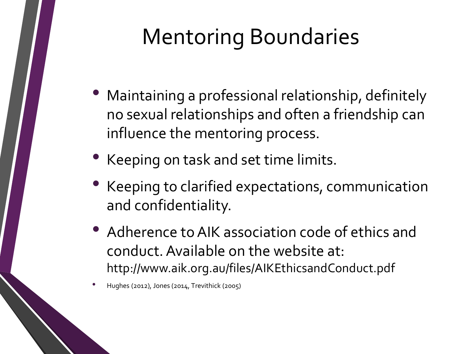#### Mentoring Boundaries

- Maintaining a professional relationship, definitely no sexual relationships and often a friendship can influence the mentoring process.
- Keeping on task and set time limits.
- Keeping to clarified expectations, communication and confidentiality.
- Adherence to AIK association code of ethics and conduct. Available on the website at: http://www.aik.org.au/files/AIKEthicsandConduct.pdf
- Hughes (2012), Jones (2014, Trevithick (2005)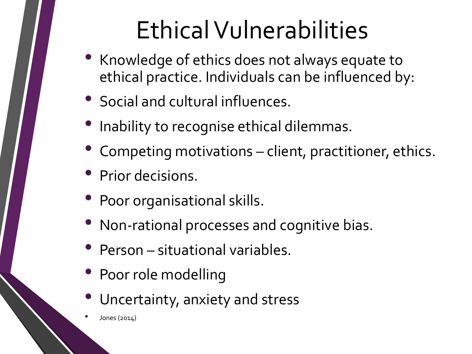# Ethical Vulnerabilities

- Knowledge of ethics does not always equate to ethical practice. Individuals can be influenced by:
- Social and cultural influences.
- Inability to recognise ethical dilemmas.
- Competing motivations client, practitioner, ethics.
- Prior decisions.
- Poor organisational skills.
- Non-rational processes and cognitive bias.
- Person situational variables.
- Poor role modelling
- Uncertainty, anxiety and stress
- Jones (2014)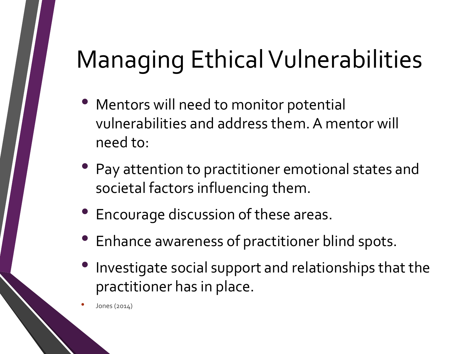# Managing Ethical Vulnerabilities

- Mentors will need to monitor potential vulnerabilities and address them. A mentor will need to:
- Pay attention to practitioner emotional states and societal factors influencing them.
- Encourage discussion of these areas.
- Enhance awareness of practitioner blind spots.
- Investigate social support and relationships that the practitioner has in place.

• Jones (2014)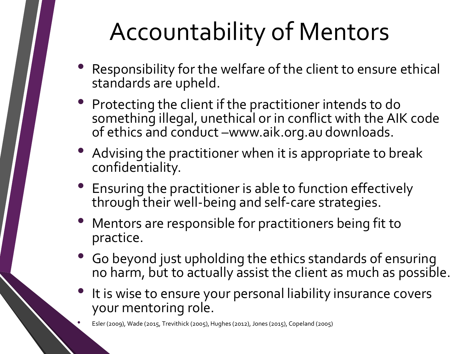## Accountability of Mentors

- Responsibility for the welfare of the client to ensure ethical standards are upheld.
- Protecting the client if the practitioner intends to do something illegal, unethical or in conflict with the AIK code of ethics and conduct –www.aik.org.au downloads.
- Advising the practitioner when it is appropriate to break confidentiality.
- Ensuring the practitioner is able to function effectively through their well-being and self-care strategies.
- Mentors are responsible for practitioners being fit to practice.
- Go beyond just upholding the ethics standards of ensuring no harm, but to actually assist the client as much as possible.
- It is wise to ensure your personal liability insurance covers your mentoring role.

• Esler (2009), Wade (2015, Trevithick (2005), Hughes (2012), Jones (2015), Copeland (2005)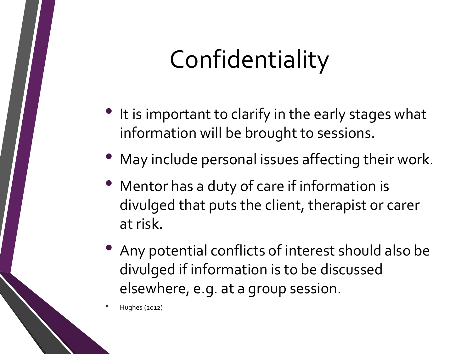## Confidentiality

- It is important to clarify in the early stages what information will be brought to sessions.
- May include personal issues affecting their work.
- Mentor has a duty of care if information is divulged that puts the client, therapist or carer at risk.
- Any potential conflicts of interest should also be divulged if information is to be discussed elsewhere, e.g. at a group session.

• Hughes (2012)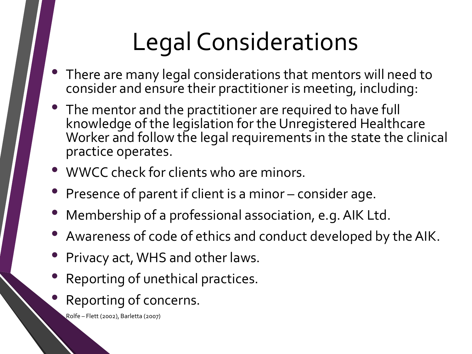# Legal Considerations

- There are many legal considerations that mentors will need to consider and ensure their practitioner is meeting, including:
- The mentor and the practitioner are required to have full knowledge of the legislation for the Unregistered Healthcare Worker and follow the legal requirements in the state the clinical practice operates.
- WWCC check for clients who are minors.
- Presence of parent if client is a minor consider age.
- Membership of a professional association, e.g. AIK Ltd.
- Awareness of code of ethics and conduct developed by the AIK.
- Privacy act, WHS and other laws.
- Reporting of unethical practices.
- Reporting of concerns.

• Rolfe – Flett (2002), Barletta (2007)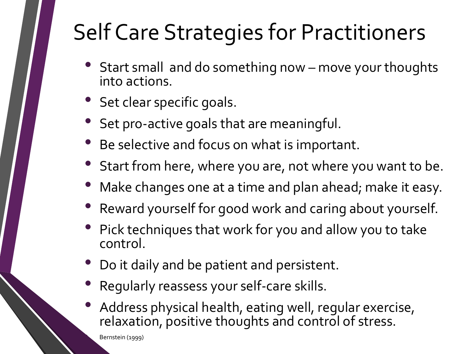#### Self Care Strategies for Practitioners

- Start small and do something now move your thoughts into actions.
- Set clear specific goals.
- Set pro-active goals that are meaningful.
- Be selective and focus on what is important.
- Start from here, where you are, not where you want to be.
- Make changes one at a time and plan ahead; make it easy.
- Reward yourself for good work and caring about yourself.
- Pick techniques that work for you and allow you to take control.
- Do it daily and be patient and persistent.
- Regularly reassess your self-care skills.
- Address physical health, eating well, regular exercise, relaxation, positive thoughts and control of stress.

• Bernstein (1999)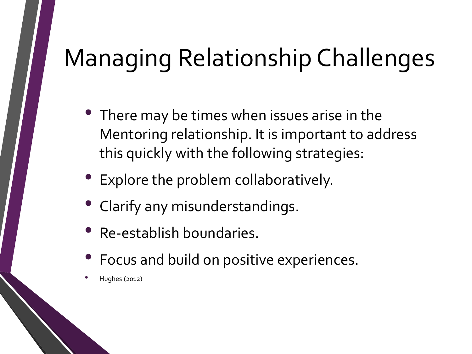# Managing Relationship Challenges

- There may be times when issues arise in the Mentoring relationship. It is important to address this quickly with the following strategies:
- Explore the problem collaboratively.
- Clarify any misunderstandings.
- Re-establish boundaries.
- Focus and build on positive experiences.
- Hughes (2012)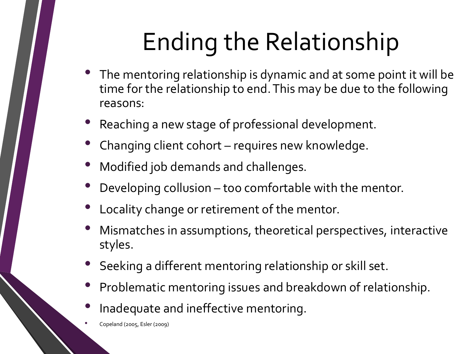# Ending the Relationship

- The mentoring relationship is dynamic and at some point it will be time for the relationship to end. This may be due to the following reasons:
- Reaching a new stage of professional development.
- Changing client cohort requires new knowledge.
- Modified job demands and challenges.
- Developing collusion too comfortable with the mentor.
- Locality change or retirement of the mentor.
- Mismatches in assumptions, theoretical perspectives, interactive styles.
- Seeking a different mentoring relationship or skill set.
- Problematic mentoring issues and breakdown of relationship.
- Inadequate and ineffective mentoring.

• Copeland (2005, Esler (2009)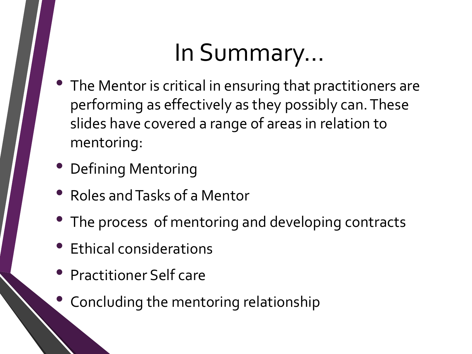### In Summary…

- The Mentor is critical in ensuring that practitioners are performing as effectively as they possibly can. These slides have covered a range of areas in relation to mentoring:
- Defining Mentoring
- Roles and Tasks of a Mentor
- The process of mentoring and developing contracts
- Ethical considerations
- Practitioner Self care
- Concluding the mentoring relationship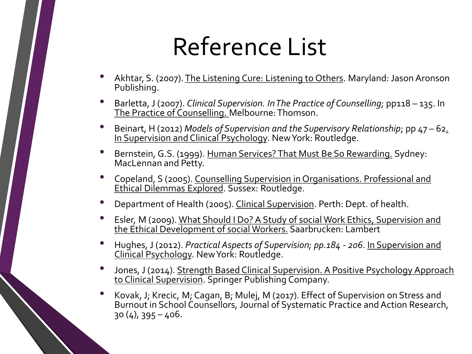#### Reference List

- Akhtar, S. (2007). The Listening Cure: Listening to Others. Maryland: Jason Aronson Publishing.
- Barletta, J (2007). *Clinical Supervision. In The Practice of Counselling*; pp118 135. In The Practice of Counselling. Melbourne: Thomson.
- Beinart, H (2012) *Models of Supervision and the Supervisory Relationship*; pp 47 62. In Supervision and Clinical Psychology. New York: Routledge.
- Bernstein, G.S. (1999). Human Services? That Must Be So Rewarding. Sydney: MacLennan and Petty.
- Copeland, S (2005). Counselling Supervision in Organisations. Professional and Ethical Dilemmas Explored. Sussex: Routledge.
- Department of Health (2005). Clinical Supervision. Perth: Dept. of health.
- Esler, M (2009). What Should I Do? A Study of social Work Ethics, Supervision and the Ethical Development of social Workers. Saarbrucken: Lambert
- Hughes, J (2012). *Practical Aspects of Supervision; pp.184 - <sup>206</sup>*. In Supervision and Clinical Psychology. New York: Routledge.
- Jones, J (2014). Strength Based Clinical Supervision. A Positive Psychology Approach to Clinical Supervision. Springer Publishing Company.
- Kovak, J; Krecic, M; Cagan, B; Mulej, M (2017). Effect of Supervision on Stress and Burnout in School Counsellors, Journal of Systematic Practice and Action Research, 30 (4), 395 – 406.